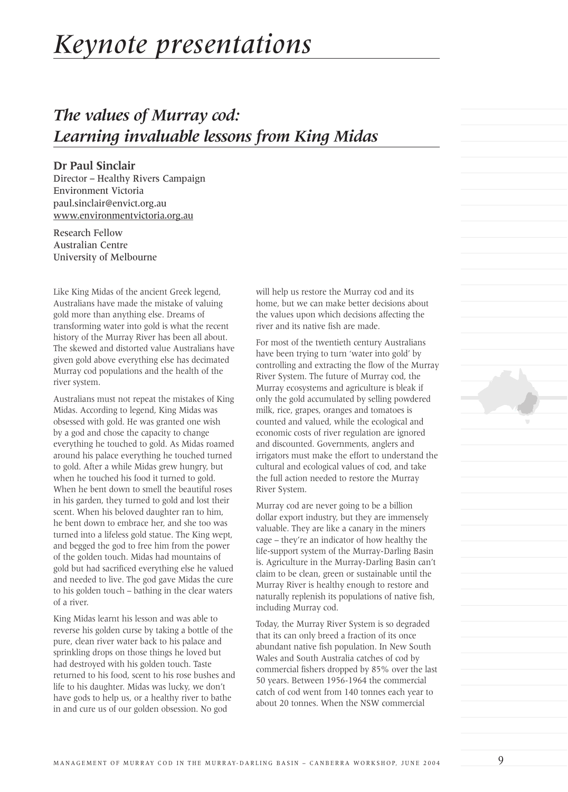# *Keynote presentations*

# *The values of Murray cod: Learning invaluable lessons from King Midas*

#### **Dr Paul Sinclair**

Director – Healthy Rivers Campaign Environment Victoria paul.sinclair@envict.org.au www.environmentvictoria.org.au

Research Fellow Australian Centre University of Melbourne

Like King Midas of the ancient Greek legend, Australians have made the mistake of valuing gold more than anything else. Dreams of transforming water into gold is what the recent history of the Murray River has been all about. The skewed and distorted value Australians have given gold above everything else has decimated Murray cod populations and the health of the river system.

Australians must not repeat the mistakes of King Midas. According to legend, King Midas was obsessed with gold. He was granted one wish by a god and chose the capacity to change everything he touched to gold. As Midas roamed around his palace everything he touched turned to gold. After a while Midas grew hungry, but when he touched his food it turned to gold. When he bent down to smell the beautiful roses in his garden, they turned to gold and lost their scent. When his beloved daughter ran to him, he bent down to embrace her, and she too was turned into a lifeless gold statue. The King wept, and begged the god to free him from the power of the golden touch. Midas had mountains of gold but had sacrificed everything else he valued and needed to live. The god gave Midas the cure to his golden touch – bathing in the clear waters of a river.

King Midas learnt his lesson and was able to reverse his golden curse by taking a bottle of the pure, clean river water back to his palace and sprinkling drops on those things he loved but had destroyed with his golden touch. Taste returned to his food, scent to his rose bushes and life to his daughter. Midas was lucky, we don't have gods to help us, or a healthy river to bathe in and cure us of our golden obsession. No god

will help us restore the Murray cod and its home, but we can make better decisions about the values upon which decisions affecting the river and its native fish are made.

For most of the twentieth century Australians have been trying to turn 'water into gold' by controlling and extracting the flow of the Murray River System. The future of Murray cod, the Murray ecosystems and agriculture is bleak if only the gold accumulated by selling powdered milk, rice, grapes, oranges and tomatoes is counted and valued, while the ecological and economic costs of river regulation are ignored and discounted. Governments, anglers and irrigators must make the effort to understand the cultural and ecological values of cod, and take the full action needed to restore the Murray River System.

Murray cod are never going to be a billion dollar export industry, but they are immensely valuable. They are like a canary in the miners cage – they're an indicator of how healthy the life-support system of the Murray-Darling Basin is. Agriculture in the Murray-Darling Basin can't claim to be clean, green or sustainable until the Murray River is healthy enough to restore and naturally replenish its populations of native fish, including Murray cod.

Today, the Murray River System is so degraded that its can only breed a fraction of its once abundant native fish population. In New South Wales and South Australia catches of cod by commercial fishers dropped by 85% over the last 50 years. Between 1956-1964 the commercial catch of cod went from 140 tonnes each year to about 20 tonnes. When the NSW commercial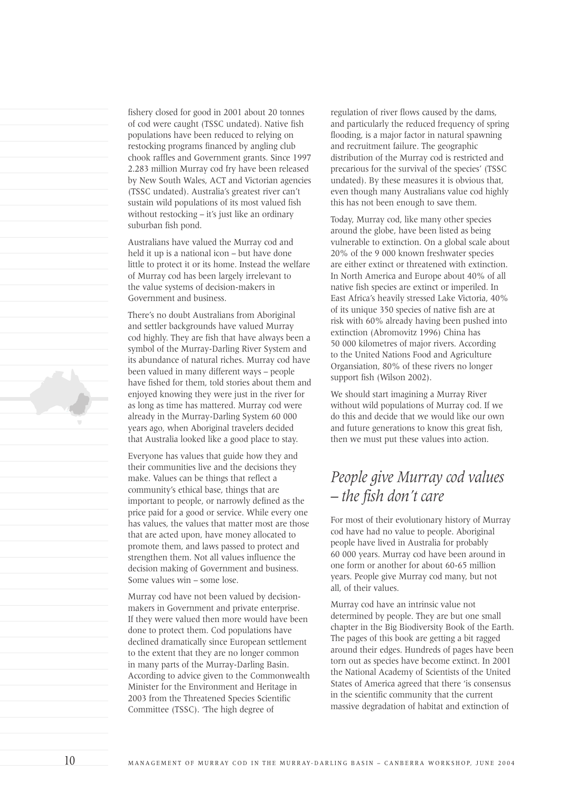fishery closed for good in 2001 about 20 tonnes of cod were caught (TSSC undated). Native fish populations have been reduced to relying on restocking programs financed by angling club chook raffles and Government grants. Since 1997 2.283 million Murray cod fry have been released by New South Wales, ACT and Victorian agencies (TSSC undated). Australia's greatest river can't sustain wild populations of its most valued fish without restocking – it's just like an ordinary suburban fish pond.

Australians have valued the Murray cod and held it up is a national icon – but have done little to protect it or its home. Instead the welfare of Murray cod has been largely irrelevant to the value systems of decision-makers in Government and business.

There's no doubt Australians from Aboriginal and settler backgrounds have valued Murray cod highly. They are fish that have always been a symbol of the Murray-Darling River System and its abundance of natural riches. Murray cod have been valued in many different ways – people have fished for them, told stories about them and enjoyed knowing they were just in the river for as long as time has mattered. Murray cod were already in the Murray-Darling System 60 000 years ago, when Aboriginal travelers decided that Australia looked like a good place to stay.

Everyone has values that guide how they and their communities live and the decisions they make. Values can be things that reflect a community's ethical base, things that are important to people, or narrowly defined as the price paid for a good or service. While every one has values, the values that matter most are those that are acted upon, have money allocated to promote them, and laws passed to protect and strengthen them. Not all values influence the decision making of Government and business. Some values win – some lose.

Murray cod have not been valued by decisionmakers in Government and private enterprise. If they were valued then more would have been done to protect them. Cod populations have declined dramatically since European settlement to the extent that they are no longer common in many parts of the Murray-Darling Basin. According to advice given to the Commonwealth Minister for the Environment and Heritage in 2003 from the Threatened Species Scientific Committee (TSSC). 'The high degree of

regulation of river flows caused by the dams, and particularly the reduced frequency of spring flooding, is a major factor in natural spawning and recruitment failure. The geographic distribution of the Murray cod is restricted and precarious for the survival of the species' (TSSC undated). By these measures it is obvious that, even though many Australians value cod highly this has not been enough to save them.

Today, Murray cod, like many other species around the globe, have been listed as being vulnerable to extinction. On a global scale about 20% of the 9 000 known freshwater species are either extinct or threatened with extinction. In North America and Europe about 40% of all native fish species are extinct or imperiled. In East Africa's heavily stressed Lake Victoria, 40% of its unique 350 species of native fish are at risk with 60% already having been pushed into extinction (Abromovitz 1996) China has 50 000 kilometres of major rivers. According to the United Nations Food and Agriculture Organsiation, 80% of these rivers no longer support fish (Wilson 2002).

We should start imagining a Murray River without wild populations of Murray cod. If we do this and decide that we would like our own and future generations to know this great fish, then we must put these values into action.

## *People give Murray cod values – the fish don't care*

For most of their evolutionary history of Murray cod have had no value to people. Aboriginal people have lived in Australia for probably 60 000 years. Murray cod have been around in one form or another for about 60-65 million years. People give Murray cod many, but not all, of their values.

Murray cod have an intrinsic value not determined by people. They are but one small chapter in the Big Biodiversity Book of the Earth. The pages of this book are getting a bit ragged around their edges. Hundreds of pages have been torn out as species have become extinct. In 2001 the National Academy of Scientists of the United States of America agreed that there 'is consensus in the scientific community that the current massive degradation of habitat and extinction of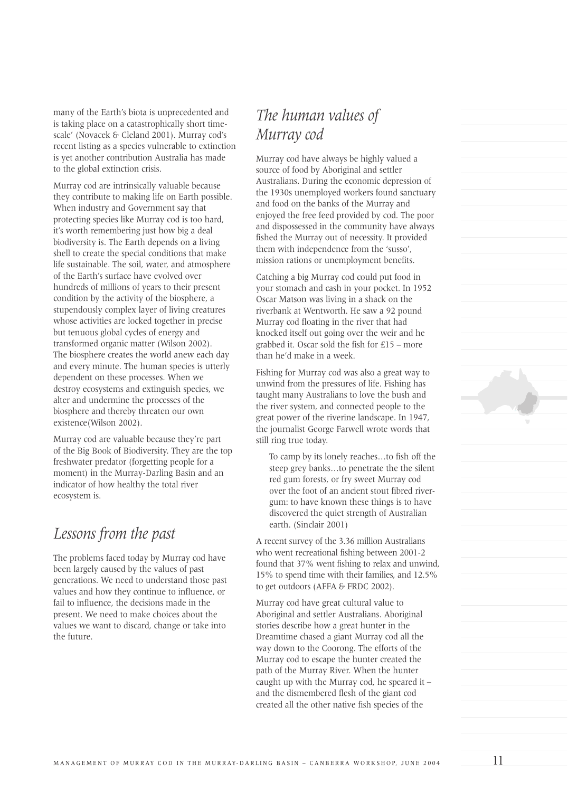many of the Earth's biota is unprecedented and is taking place on a catastrophically short timescale' (Novacek & Cleland 2001). Murray cod's recent listing as a species vulnerable to extinction is yet another contribution Australia has made to the global extinction crisis.

Murray cod are intrinsically valuable because they contribute to making life on Earth possible. When industry and Government say that protecting species like Murray cod is too hard, it's worth remembering just how big a deal biodiversity is. The Earth depends on a living shell to create the special conditions that make life sustainable. The soil, water, and atmosphere of the Earth's surface have evolved over hundreds of millions of years to their present condition by the activity of the biosphere, a stupendously complex layer of living creatures whose activities are locked together in precise but tenuous global cycles of energy and transformed organic matter (Wilson 2002). The biosphere creates the world anew each day and every minute. The human species is utterly dependent on these processes. When we destroy ecosystems and extinguish species, we alter and undermine the processes of the biosphere and thereby threaten our own existence(Wilson 2002).

Murray cod are valuable because they're part of the Big Book of Biodiversity. They are the top freshwater predator (forgetting people for a moment) in the Murray-Darling Basin and an indicator of how healthy the total river ecosystem is.

### *Lessons from the past*

The problems faced today by Murray cod have been largely caused by the values of past generations. We need to understand those past values and how they continue to influence, or fail to influence, the decisions made in the present. We need to make choices about the values we want to discard, change or take into the future.

# *The human values of Murray cod*

Murray cod have always be highly valued a source of food by Aboriginal and settler Australians. During the economic depression of the 1930s unemployed workers found sanctuary and food on the banks of the Murray and enjoyed the free feed provided by cod. The poor and dispossessed in the community have always fished the Murray out of necessity. It provided them with independence from the 'susso', mission rations or unemployment benefits.

Catching a big Murray cod could put food in your stomach and cash in your pocket. In 1952 Oscar Matson was living in a shack on the riverbank at Wentworth. He saw a 92 pound Murray cod floating in the river that had knocked itself out going over the weir and he grabbed it. Oscar sold the fish for £15 – more than he'd make in a week.

Fishing for Murray cod was also a great way to unwind from the pressures of life. Fishing has taught many Australians to love the bush and the river system, and connected people to the great power of the riverine landscape. In 1947, the journalist George Farwell wrote words that still ring true today.

To camp by its lonely reaches…to fish off the steep grey banks…to penetrate the the silent red gum forests, or fry sweet Murray cod over the foot of an ancient stout fibred rivergum: to have known these things is to have discovered the quiet strength of Australian earth. (Sinclair 2001)

A recent survey of the 3.36 million Australians who went recreational fishing between 2001-2 found that 37% went fishing to relax and unwind, 15% to spend time with their families, and 12.5% to get outdoors (AFFA & FRDC 2002).

Murray cod have great cultural value to Aboriginal and settler Australians. Aboriginal stories describe how a great hunter in the Dreamtime chased a giant Murray cod all the way down to the Coorong. The efforts of the Murray cod to escape the hunter created the path of the Murray River. When the hunter caught up with the Murray cod, he speared it – and the dismembered flesh of the giant cod created all the other native fish species of the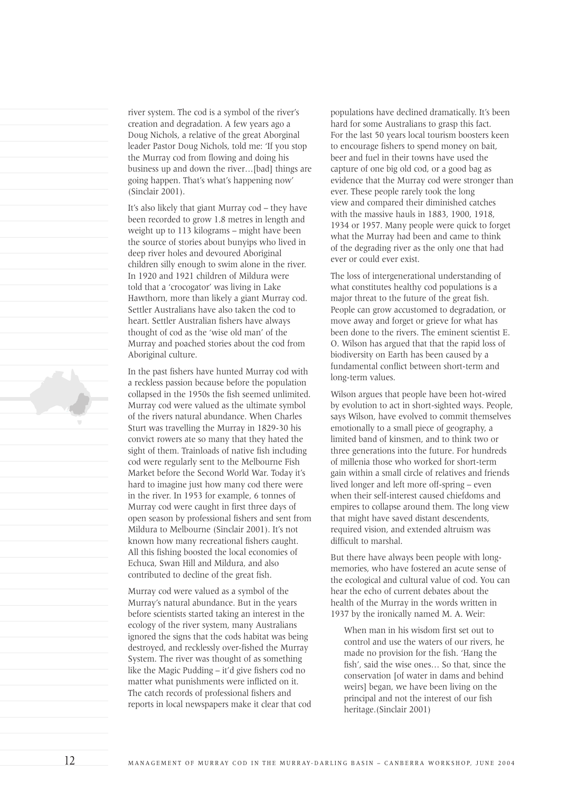river system. The cod is a symbol of the river's creation and degradation. A few years ago a Doug Nichols, a relative of the great Aborginal leader Pastor Doug Nichols, told me: 'If you stop the Murray cod from flowing and doing his business up and down the river…[bad] things are going happen. That's what's happening now' (Sinclair 2001).

It's also likely that giant Murray cod – they have been recorded to grow 1.8 metres in length and weight up to 113 kilograms – might have been the source of stories about bunyips who lived in deep river holes and devoured Aboriginal children silly enough to swim alone in the river. In 1920 and 1921 children of Mildura were told that a 'crocogator' was living in Lake Hawthorn, more than likely a giant Murray cod. Settler Australians have also taken the cod to heart. Settler Australian fishers have always thought of cod as the 'wise old man' of the Murray and poached stories about the cod from Aboriginal culture.

In the past fishers have hunted Murray cod with a reckless passion because before the population collapsed in the 1950s the fish seemed unlimited. Murray cod were valued as the ultimate symbol of the rivers natural abundance. When Charles Sturt was travelling the Murray in 1829-30 his convict rowers ate so many that they hated the sight of them. Trainloads of native fish including cod were regularly sent to the Melbourne Fish Market before the Second World War. Today it's hard to imagine just how many cod there were in the river. In 1953 for example, 6 tonnes of Murray cod were caught in first three days of open season by professional fishers and sent from Mildura to Melbourne (Sinclair 2001). It's not known how many recreational fishers caught. All this fishing boosted the local economies of Echuca, Swan Hill and Mildura, and also contributed to decline of the great fish.

Murray cod were valued as a symbol of the Murray's natural abundance. But in the years before scientists started taking an interest in the ecology of the river system, many Australians ignored the signs that the cods habitat was being destroyed, and recklessly over-fished the Murray System. The river was thought of as something like the Magic Pudding – it'd give fishers cod no matter what punishments were inflicted on it. The catch records of professional fishers and reports in local newspapers make it clear that cod

populations have declined dramatically. It's been hard for some Australians to grasp this fact. For the last 50 years local tourism boosters keen to encourage fishers to spend money on bait, beer and fuel in their towns have used the capture of one big old cod, or a good bag as evidence that the Murray cod were stronger than ever. These people rarely took the long view and compared their diminished catches with the massive hauls in 1883, 1900, 1918, 1934 or 1957. Many people were quick to forget what the Murray had been and came to think of the degrading river as the only one that had ever or could ever exist.

The loss of intergenerational understanding of what constitutes healthy cod populations is a major threat to the future of the great fish. People can grow accustomed to degradation, or move away and forget or grieve for what has been done to the rivers. The eminent scientist E. O. Wilson has argued that that the rapid loss of biodiversity on Earth has been caused by a fundamental conflict between short-term and long-term values.

Wilson argues that people have been hot-wired by evolution to act in short-sighted ways. People, says Wilson, have evolved to commit themselves emotionally to a small piece of geography, a limited band of kinsmen, and to think two or three generations into the future. For hundreds of millenia those who worked for short-term gain within a small circle of relatives and friends lived longer and left more off-spring – even when their self-interest caused chiefdoms and empires to collapse around them. The long view that might have saved distant descendents, required vision, and extended altruism was difficult to marshal.

But there have always been people with longmemories, who have fostered an acute sense of the ecological and cultural value of cod. You can hear the echo of current debates about the health of the Murray in the words written in 1937 by the ironically named M. A. Weir:

When man in his wisdom first set out to control and use the waters of our rivers, he made no provision for the fish. 'Hang the fish', said the wise ones… So that, since the conservation [of water in dams and behind weirs] began, we have been living on the principal and not the interest of our fish heritage.(Sinclair 2001)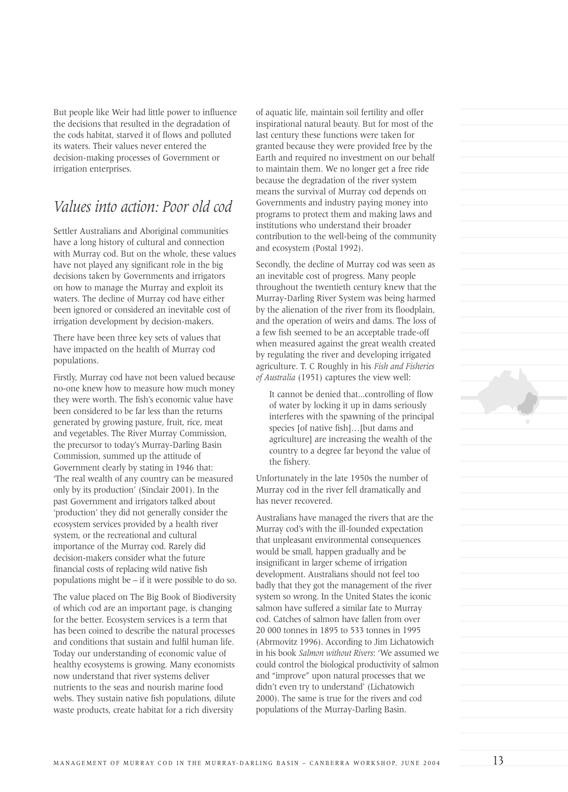But people like Weir had little power to influence the decisions that resulted in the degradation of the cods habitat, starved it of flows and polluted its waters. Their values never entered the decision-making processes of Government or irrigation enterprises.

#### *Values into action: Poor old cod*

Settler Australians and Aboriginal communities have a long history of cultural and connection with Murray cod. But on the whole, these values have not played any significant role in the big decisions taken by Governments and irrigators on how to manage the Murray and exploit its waters. The decline of Murray cod have either been ignored or considered an inevitable cost of irrigation development by decision-makers.

There have been three key sets of values that have impacted on the health of Murray cod populations.

Firstly, Murray cod have not been valued because no-one knew how to measure how much money they were worth. The fish's economic value have been considered to be far less than the returns generated by growing pasture, fruit, rice, meat and vegetables. The River Murray Commission, the precursor to today's Murray-Darling Basin Commission, summed up the attitude of Government clearly by stating in 1946 that: 'The real wealth of any country can be measured only by its production' (Sinclair 2001). In the past Government and irrigators talked about 'production' they did not generally consider the ecosystem services provided by a health river system, or the recreational and cultural importance of the Murray cod. Rarely did decision-makers consider what the future financial costs of replacing wild native fish populations might be – if it were possible to do so.

The value placed on The Big Book of Biodiversity of which cod are an important page, is changing for the better. Ecosystem services is a term that has been coined to describe the natural processes and conditions that sustain and fulfil human life. Today our understanding of economic value of healthy ecosystems is growing. Many economists now understand that river systems deliver nutrients to the seas and nourish marine food webs. They sustain native fish populations, dilute waste products, create habitat for a rich diversity

of aquatic life, maintain soil fertility and offer inspirational natural beauty. But for most of the last century these functions were taken for granted because they were provided free by the Earth and required no investment on our behalf to maintain them. We no longer get a free ride because the degradation of the river system means the survival of Murray cod depends on Governments and industry paying money into programs to protect them and making laws and institutions who understand their broader contribution to the well-being of the community and ecosystem (Postal 1992).

Secondly, the decline of Murray cod was seen as an inevitable cost of progress. Many people throughout the twentieth century knew that the Murray-Darling River System was being harmed by the alienation of the river from its floodplain, and the operation of weirs and dams. The loss of a few fish seemed to be an acceptable trade-off when measured against the great wealth created by regulating the river and developing irrigated agriculture. T. C Roughly in his *Fish and Fisheries of Australia* (1951) captures the view well:

It cannot be denied that...controlling of flow of water by locking it up in dams seriously interferes with the spawning of the principal species [of native fish]…[but dams and agriculture] are increasing the wealth of the country to a degree far beyond the value of the fishery.

Unfortunately in the late 1950s the number of Murray cod in the river fell dramatically and has never recovered.

Australians have managed the rivers that are the Murray cod's with the ill-founded expectation that unpleasant environmental consequences would be small, happen gradually and be insignificant in larger scheme of irrigation development. Australians should not feel too badly that they got the management of the river system so wrong. In the United States the iconic salmon have suffered a similar fate to Murray cod. Catches of salmon have fallen from over 20 000 tonnes in 1895 to 533 tonnes in 1995 (Abrmovitz 1996). According to Jim Lichatowich in his book *Salmon without Rivers*: 'We assumed we could control the biological productivity of salmon and "improve" upon natural processes that we didn't even try to understand' (Lichatowich 2000). The same is true for the rivers and cod populations of the Murray-Darling Basin.